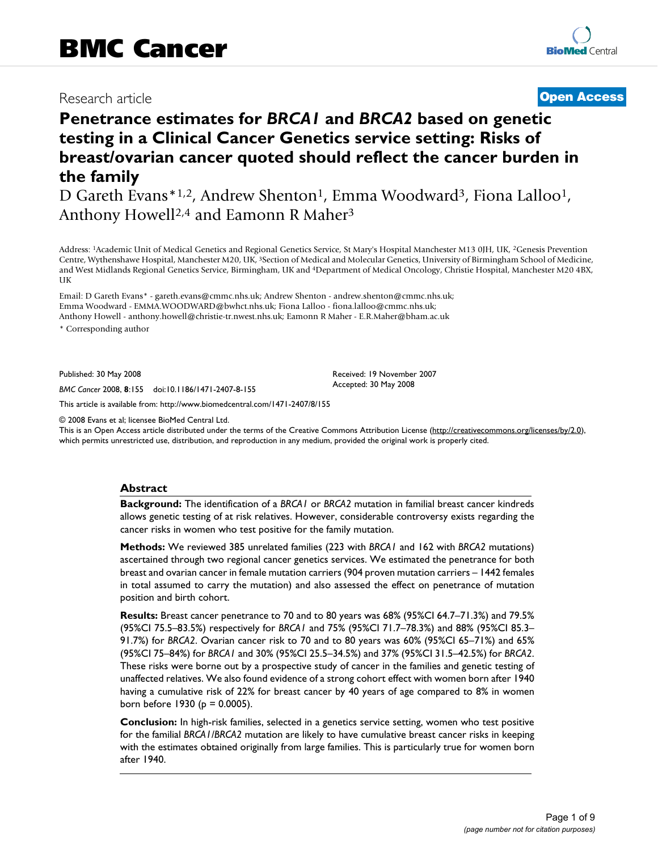## Research article **[Open Access](http://www.biomedcentral.com/info/about/charter/)**

# **Penetrance estimates for** *BRCA1* **and** *BRCA2* **based on genetic testing in a Clinical Cancer Genetics service setting: Risks of breast/ovarian cancer quoted should reflect the cancer burden in the family**

D Gareth Evans\*1,2, Andrew Shenton<sup>1</sup>, Emma Woodward<sup>3</sup>, Fiona Lalloo<sup>1</sup>, Anthony Howell<sup>2,4</sup> and Eamonn R Maher<sup>3</sup>

Address: 1Academic Unit of Medical Genetics and Regional Genetics Service, St Mary's Hospital Manchester M13 0JH, UK, 2Genesis Prevention Centre, Wythenshawe Hospital, Manchester M20, UK, 3Section of Medical and Molecular Genetics, University of Birmingham School of Medicine, and West Midlands Regional Genetics Service, Birmingham, UK and 4Department of Medical Oncology, Christie Hospital, Manchester M20 4BX, UK

Email: D Gareth Evans\* - gareth.evans@cmmc.nhs.uk; Andrew Shenton - andrew.shenton@cmmc.nhs.uk; Emma Woodward - EMMA.WOODWARD@bwhct.nhs.uk; Fiona Lalloo - fiona.lalloo@cmmc.nhs.uk; Anthony Howell - anthony.howell@christie-tr.nwest.nhs.uk; Eamonn R Maher - E.R.Maher@bham.ac.uk

\* Corresponding author

Published: 30 May 2008

*BMC Cancer* 2008, **8**:155 doi:10.1186/1471-2407-8-155

[This article is available from: http://www.biomedcentral.com/1471-2407/8/155](http://www.biomedcentral.com/1471-2407/8/155)

© 2008 Evans et al; licensee BioMed Central Ltd.

This is an Open Access article distributed under the terms of the Creative Commons Attribution License [\(http://creativecommons.org/licenses/by/2.0\)](http://creativecommons.org/licenses/by/2.0), which permits unrestricted use, distribution, and reproduction in any medium, provided the original work is properly cited.

Received: 19 November 2007 Accepted: 30 May 2008

#### **Abstract**

**Background:** The identification of a *BRCA1* or *BRCA2* mutation in familial breast cancer kindreds allows genetic testing of at risk relatives. However, considerable controversy exists regarding the cancer risks in women who test positive for the family mutation.

**Methods:** We reviewed 385 unrelated families (223 with *BRCA1* and 162 with *BRCA2* mutations) ascertained through two regional cancer genetics services. We estimated the penetrance for both breast and ovarian cancer in female mutation carriers (904 proven mutation carriers – 1442 females in total assumed to carry the mutation) and also assessed the effect on penetrance of mutation position and birth cohort.

**Results:** Breast cancer penetrance to 70 and to 80 years was 68% (95%CI 64.7–71.3%) and 79.5% (95%CI 75.5–83.5%) respectively for *BRCA1* and 75% (95%CI 71.7–78.3%) and 88% (95%CI 85.3– 91.7%) for *BRCA2*. Ovarian cancer risk to 70 and to 80 years was 60% (95%CI 65–71%) and 65% (95%CI 75–84%) for *BRCA1* and 30% (95%CI 25.5–34.5%) and 37% (95%CI 31.5–42.5%) for *BRCA2*. These risks were borne out by a prospective study of cancer in the families and genetic testing of unaffected relatives. We also found evidence of a strong cohort effect with women born after 1940 having a cumulative risk of 22% for breast cancer by 40 years of age compared to 8% in women born before  $1930$  ( $p = 0.0005$ ).

**Conclusion:** In high-risk families, selected in a genetics service setting, women who test positive for the familial *BRCA1/BRCA2* mutation are likely to have cumulative breast cancer risks in keeping with the estimates obtained originally from large families. This is particularly true for women born after 1940.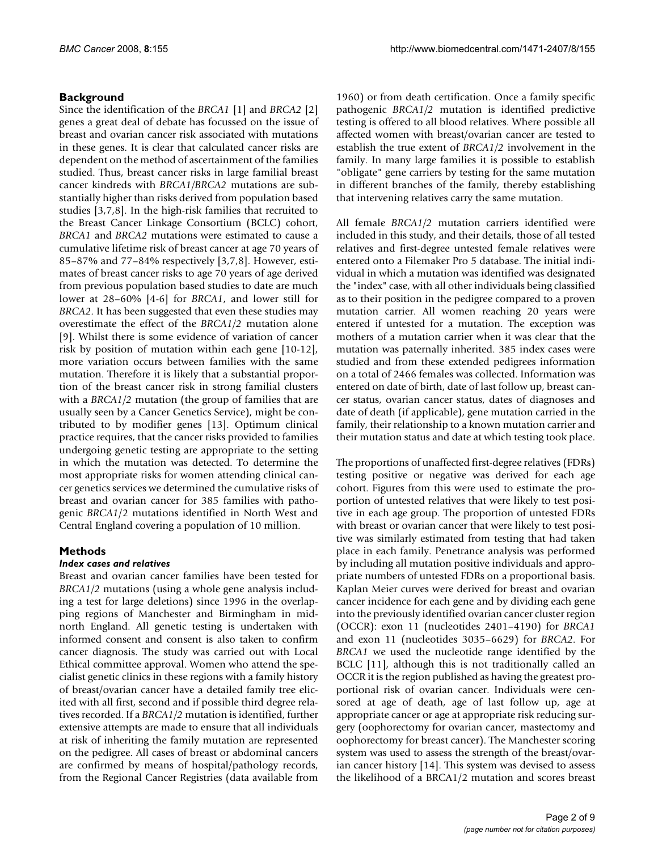### **Background**

Since the identification of the *BRCA1* [1] and *BRCA2* [2] genes a great deal of debate has focussed on the issue of breast and ovarian cancer risk associated with mutations in these genes. It is clear that calculated cancer risks are dependent on the method of ascertainment of the families studied. Thus, breast cancer risks in large familial breast cancer kindreds with *BRCA1/BRCA2* mutations are substantially higher than risks derived from population based studies [3,7,8]. In the high-risk families that recruited to the Breast Cancer Linkage Consortium (BCLC) cohort, *BRCA1* and *BRCA2* mutations were estimated to cause a cumulative lifetime risk of breast cancer at age 70 years of 85–87% and 77–84% respectively [3,7,8]. However, estimates of breast cancer risks to age 70 years of age derived from previous population based studies to date are much lower at 28–60% [4-6] for *BRCA1*, and lower still for *BRCA2*. It has been suggested that even these studies may overestimate the effect of the *BRCA1/2* mutation alone [9]. Whilst there is some evidence of variation of cancer risk by position of mutation within each gene [10-12], more variation occurs between families with the same mutation. Therefore it is likely that a substantial proportion of the breast cancer risk in strong familial clusters with a *BRCA1/2* mutation (the group of families that are usually seen by a Cancer Genetics Service), might be contributed to by modifier genes [13]. Optimum clinical practice requires, that the cancer risks provided to families undergoing genetic testing are appropriate to the setting in which the mutation was detected. To determine the most appropriate risks for women attending clinical cancer genetics services we determined the cumulative risks of breast and ovarian cancer for 385 families with pathogenic *BRCA1*/2 mutations identified in North West and Central England covering a population of 10 million.

### **Methods**

#### *Index cases and relatives*

Breast and ovarian cancer families have been tested for *BRCA1/2* mutations (using a whole gene analysis including a test for large deletions) since 1996 in the overlapping regions of Manchester and Birmingham in midnorth England. All genetic testing is undertaken with informed consent and consent is also taken to confirm cancer diagnosis. The study was carried out with Local Ethical committee approval. Women who attend the specialist genetic clinics in these regions with a family history of breast/ovarian cancer have a detailed family tree elicited with all first, second and if possible third degree relatives recorded. If a *BRCA1/2* mutation is identified, further extensive attempts are made to ensure that all individuals at risk of inheriting the family mutation are represented on the pedigree. All cases of breast or abdominal cancers are confirmed by means of hospital/pathology records, from the Regional Cancer Registries (data available from

1960) or from death certification. Once a family specific pathogenic *BRCA1/2* mutation is identified predictive testing is offered to all blood relatives. Where possible all affected women with breast/ovarian cancer are tested to establish the true extent of *BRCA1/2* involvement in the family. In many large families it is possible to establish "obligate" gene carriers by testing for the same mutation in different branches of the family, thereby establishing that intervening relatives carry the same mutation.

All female *BRCA1/2* mutation carriers identified were included in this study, and their details, those of all tested relatives and first-degree untested female relatives were entered onto a Filemaker Pro 5 database. The initial individual in which a mutation was identified was designated the "index" case, with all other individuals being classified as to their position in the pedigree compared to a proven mutation carrier. All women reaching 20 years were entered if untested for a mutation. The exception was mothers of a mutation carrier when it was clear that the mutation was paternally inherited. 385 index cases were studied and from these extended pedigrees information on a total of 2466 females was collected. Information was entered on date of birth, date of last follow up, breast cancer status, ovarian cancer status, dates of diagnoses and date of death (if applicable), gene mutation carried in the family, their relationship to a known mutation carrier and their mutation status and date at which testing took place.

The proportions of unaffected first-degree relatives (FDRs) testing positive or negative was derived for each age cohort. Figures from this were used to estimate the proportion of untested relatives that were likely to test positive in each age group. The proportion of untested FDRs with breast or ovarian cancer that were likely to test positive was similarly estimated from testing that had taken place in each family. Penetrance analysis was performed by including all mutation positive individuals and appropriate numbers of untested FDRs on a proportional basis. Kaplan Meier curves were derived for breast and ovarian cancer incidence for each gene and by dividing each gene into the previously identified ovarian cancer cluster region (OCCR): exon 11 (nucleotides 2401–4190) for *BRCA1* and exon 11 (nucleotides 3035–6629) for *BRCA2*. For *BRCA1* we used the nucleotide range identified by the BCLC [11], although this is not traditionally called an OCCR it is the region published as having the greatest proportional risk of ovarian cancer. Individuals were censored at age of death, age of last follow up, age at appropriate cancer or age at appropriate risk reducing surgery (oophorectomy for ovarian cancer, mastectomy and oophorectomy for breast cancer). The Manchester scoring system was used to assess the strength of the breast/ovarian cancer history [14]. This system was devised to assess the likelihood of a BRCA1/2 mutation and scores breast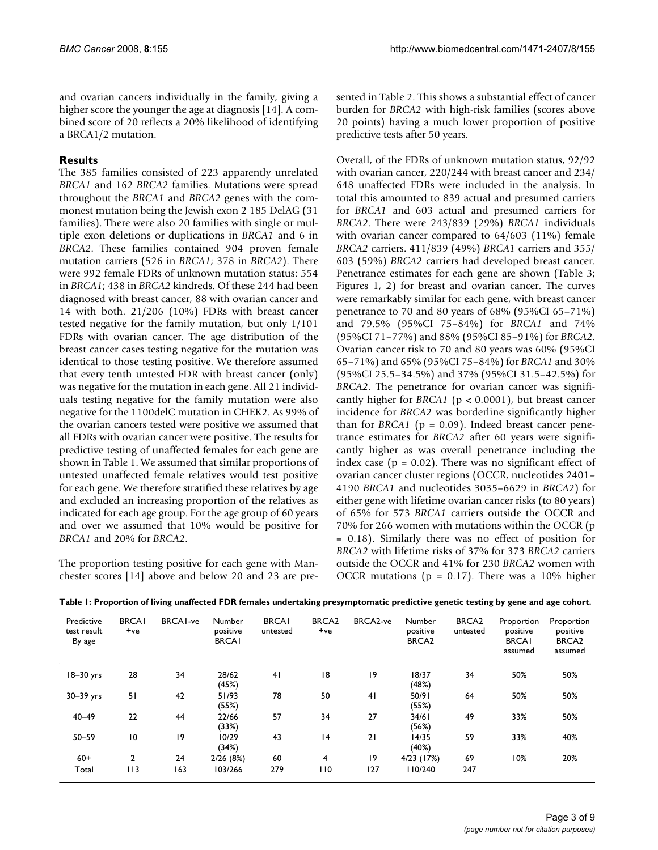and ovarian cancers individually in the family, giving a higher score the younger the age at diagnosis [14]. A combined score of 20 reflects a 20% likelihood of identifying a BRCA1/2 mutation.

#### **Results**

The 385 families consisted of 223 apparently unrelated *BRCA1* and 162 *BRCA2* families. Mutations were spread throughout the *BRCA1* and *BRCA2* genes with the commonest mutation being the Jewish exon 2 185 DelAG (31 families). There were also 20 families with single or multiple exon deletions or duplications in *BRCA1* and 6 in *BRCA2*. These families contained 904 proven female mutation carriers (526 in *BRCA1*; 378 in *BRCA2*). There were 992 female FDRs of unknown mutation status: 554 in *BRCA1*; 438 in *BRCA2* kindreds. Of these 244 had been diagnosed with breast cancer, 88 with ovarian cancer and 14 with both. 21/206 (10%) FDRs with breast cancer tested negative for the family mutation, but only 1/101 FDRs with ovarian cancer. The age distribution of the breast cancer cases testing negative for the mutation was identical to those testing positive. We therefore assumed that every tenth untested FDR with breast cancer (only) was negative for the mutation in each gene. All 21 individuals testing negative for the family mutation were also negative for the 1100delC mutation in CHEK2. As 99% of the ovarian cancers tested were positive we assumed that all FDRs with ovarian cancer were positive. The results for predictive testing of unaffected females for each gene are shown in Table 1. We assumed that similar proportions of untested unaffected female relatives would test positive for each gene. We therefore stratified these relatives by age and excluded an increasing proportion of the relatives as indicated for each age group. For the age group of 60 years and over we assumed that 10% would be positive for *BRCA1* and 20% for *BRCA2*.

The proportion testing positive for each gene with Manchester scores [14] above and below 20 and 23 are presented in Table 2. This shows a substantial effect of cancer burden for *BRCA2* with high-risk families (scores above 20 points) having a much lower proportion of positive predictive tests after 50 years.

Overall, of the FDRs of unknown mutation status, 92/92 with ovarian cancer, 220/244 with breast cancer and 234/ 648 unaffected FDRs were included in the analysis. In total this amounted to 839 actual and presumed carriers for *BRCA1* and 603 actual and presumed carriers for *BRCA2*. There were 243/839 (29%) *BRCA1* individuals with ovarian cancer compared to 64/603 (11%) female *BRCA2* carriers. 411/839 (49%) *BRCA1* carriers and 355/ 603 (59%) *BRCA2* carriers had developed breast cancer. Penetrance estimates for each gene are shown (Table 3; Figures 1, 2) for breast and ovarian cancer. The curves were remarkably similar for each gene, with breast cancer penetrance to 70 and 80 years of 68% (95%CI 65–71%) and 79.5% (95%CI 75–84%) for *BRCA1* and 74% (95%CI 71–77%) and 88% (95%CI 85–91%) for *BRCA2*. Ovarian cancer risk to 70 and 80 years was 60% (95%CI 65–71%) and 65% (95%CI 75–84%) for *BRCA1* and 30% (95%CI 25.5–34.5%) and 37% (95%CI 31.5–42.5%) for *BRCA2*. The penetrance for ovarian cancer was significantly higher for *BRCA1* (p < 0.0001), but breast cancer incidence for *BRCA2* was borderline significantly higher than for *BRCA1* ( $p = 0.09$ ). Indeed breast cancer penetrance estimates for *BRCA2* after 60 years were significantly higher as was overall penetrance including the index case ( $p = 0.02$ ). There was no significant effect of ovarian cancer cluster regions (OCCR, nucleotides 2401– 4190 *BRCA1* and nucleotides 3035–6629 in *BRCA2*) for either gene with lifetime ovarian cancer risks (to 80 years) of 65% for 573 *BRCA1* carriers outside the OCCR and 70% for 266 women with mutations within the OCCR (p = 0.18). Similarly there was no effect of position for *BRCA2* with lifetime risks of 37% for 373 *BRCA2* carriers outside the OCCR and 41% for 230 *BRCA2* women with OCCR mutations ( $p = 0.17$ ). There was a 10% higher

| Predictive<br>test result<br>By age | <b>BRCAI</b><br>$+ve$ | <b>BRCAI-ve</b> | <b>Number</b><br>positive<br><b>BRCAI</b> | <b>BRCAI</b><br>untested | <b>BRCA2</b><br>$+ve$ | BRCA2-ve       | Number<br>positive<br>BRCA <sub>2</sub> | BRCA <sub>2</sub><br>untested | Proportion<br>positive<br><b>BRCAI</b><br>assumed | Proportion<br>positive<br>BRCA <sub>2</sub><br>assumed |
|-------------------------------------|-----------------------|-----------------|-------------------------------------------|--------------------------|-----------------------|----------------|-----------------------------------------|-------------------------------|---------------------------------------------------|--------------------------------------------------------|
| $18-30$ yrs                         | 28                    | 34              | 28/62<br>(45%)                            | 41                       | 18                    | 9              | 18/37<br>(48%)                          | 34                            | 50%                                               | 50%                                                    |
| $30 - 39$ yrs                       | 51                    | 42              | 51/93<br>(55%)                            | 78                       | 50                    | 4 <sub>1</sub> | 50/91<br>(55%)                          | 64                            | 50%                                               | 50%                                                    |
| $40 - 49$                           | 22                    | 44              | 22/66<br>(33%)                            | 57                       | 34                    | 27             | 34/61<br>(56%)                          | 49                            | 33%                                               | 50%                                                    |
| $50 - 59$                           | 10                    | 19              | 10/29<br>(34%)                            | 43                       | 4                     | 21             | 14/35<br>(40%)                          | 59                            | 33%                                               | 40%                                                    |
| $60+$                               | 2                     | 24              | 2/26(8%)                                  | 60                       | 4                     | 19             | $4/23$ (17%)                            | 69                            | 10%                                               | 20%                                                    |
| Total                               | 113                   | 163             | 103/266                                   | 279                      | 110                   | 127            | 110/240                                 | 247                           |                                                   |                                                        |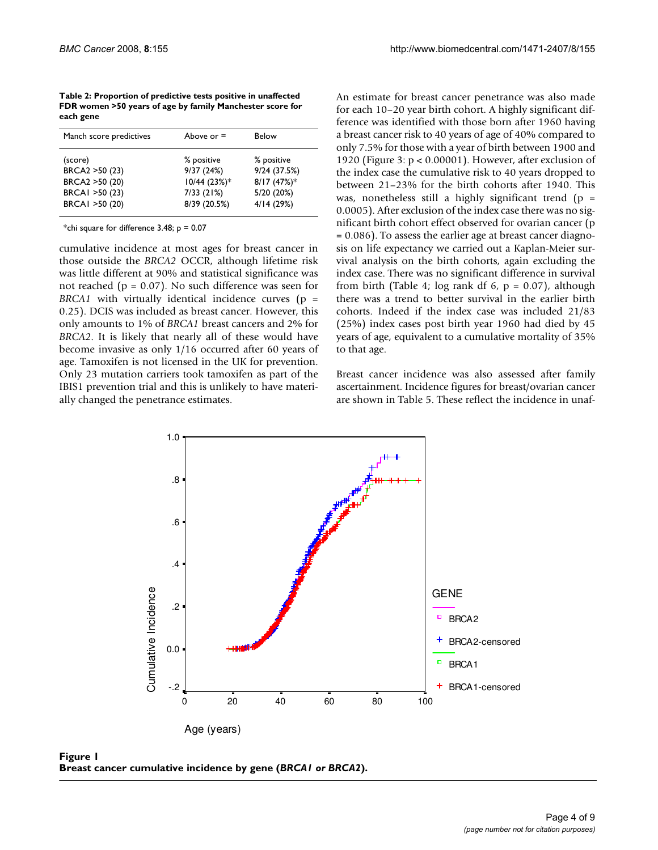**Table 2: Proportion of predictive tests positive in unaffected FDR women >50 years of age by family Manchester score for each gene**

| Manch score predictives                                                           | Above or $=$                                                           | Below                                                                 |
|-----------------------------------------------------------------------------------|------------------------------------------------------------------------|-----------------------------------------------------------------------|
| (score)<br>BRCA2 > 50 (23)<br>BRCA2 > 50 (20)<br>BRCAI >50 (23)<br>BRCAI >50 (20) | % positive<br>9/37(24%)<br>$10/44$ (23%)*<br>7/33(21%)<br>8/39 (20.5%) | % positive<br>9/24(37.5%)<br>$8/17(47%)$ *<br>5/20 (20%)<br>4/14(29%) |
|                                                                                   |                                                                        |                                                                       |

\*chi square for difference  $3.48$ ;  $p = 0.07$ 

cumulative incidence at most ages for breast cancer in those outside the *BRCA2* OCCR, although lifetime risk was little different at 90% and statistical significance was not reached ( $p = 0.07$ ). No such difference was seen for *BRCA1* with virtually identical incidence curves ( $p =$ 0.25). DCIS was included as breast cancer. However, this only amounts to 1% of *BRCA1* breast cancers and 2% for *BRCA2*. It is likely that nearly all of these would have become invasive as only 1/16 occurred after 60 years of age. Tamoxifen is not licensed in the UK for prevention. Only 23 mutation carriers took tamoxifen as part of the IBIS1 prevention trial and this is unlikely to have materially changed the penetrance estimates.

An estimate for breast cancer penetrance was also made for each 10–20 year birth cohort. A highly significant difference was identified with those born after 1960 having a breast cancer risk to 40 years of age of 40% compared to only 7.5% for those with a year of birth between 1900 and 1920 (Figure 3: p < 0.00001). However, after exclusion of the index case the cumulative risk to 40 years dropped to between 21–23% for the birth cohorts after 1940. This was, nonetheless still a highly significant trend  $(p =$ 0.0005). After exclusion of the index case there was no significant birth cohort effect observed for ovarian cancer (p = 0.086). To assess the earlier age at breast cancer diagnosis on life expectancy we carried out a Kaplan-Meier survival analysis on the birth cohorts, again excluding the index case. There was no significant difference in survival from birth (Table 4; log rank df 6,  $p = 0.07$ ), although there was a trend to better survival in the earlier birth cohorts. Indeed if the index case was included 21/83 (25%) index cases post birth year 1960 had died by 45 years of age, equivalent to a cumulative mortality of 35% to that age.

Breast cancer incidence was also assessed after family ascertainment. Incidence figures for breast/ovarian cancer are shown in Table 5. These reflect the incidence in unaf-



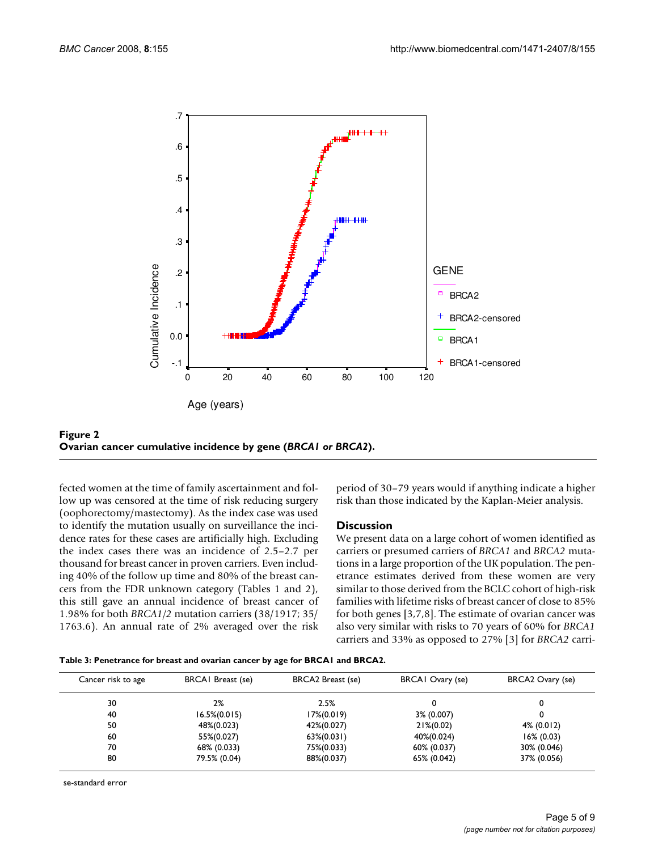

**Figure 2 Ovarian cancer cumulative incidence by gene (***BRCA1 or BRCA2***).**

fected women at the time of family ascertainment and follow up was censored at the time of risk reducing surgery (oophorectomy/mastectomy). As the index case was used to identify the mutation usually on surveillance the incidence rates for these cases are artificially high. Excluding the index cases there was an incidence of 2.5–2.7 per thousand for breast cancer in proven carriers. Even including 40% of the follow up time and 80% of the breast cancers from the FDR unknown category (Tables 1 and 2), this still gave an annual incidence of breast cancer of 1.98% for both *BRCA1/2* mutation carriers (38/1917; 35/ 1763.6). An annual rate of 2% averaged over the risk period of 30–79 years would if anything indicate a higher risk than those indicated by the Kaplan-Meier analysis.

#### **Discussion**

We present data on a large cohort of women identified as carriers or presumed carriers of *BRCA1* and *BRCA2* mutations in a large proportion of the UK population. The penetrance estimates derived from these women are very similar to those derived from the BCLC cohort of high-risk families with lifetime risks of breast cancer of close to 85% for both genes [3,7,8]. The estimate of ovarian cancer was also very similar with risks to 70 years of 60% for *BRCA1* carriers and 33% as opposed to 27% [3] for *BRCA2* carri-

|  |  |  | Table 3: Penetrance for breast and ovarian cancer by age for BRCA1 and BRCA2. |
|--|--|--|-------------------------------------------------------------------------------|
|  |  |  |                                                                               |

| Cancer risk to age | <b>BRCAI</b> Breast (se) | BRCA2 Breast (se) | BRCAI Ovary (se) | BRCA2 Ovary (se) |
|--------------------|--------------------------|-------------------|------------------|------------------|
| 30                 | 2%                       | 2.5%              |                  |                  |
| 40                 | $16.5\%(0.015)$          | $17\%(0.019)$     | 3% (0.007)       |                  |
| 50                 | 48%(0.023)               | 42%(0.027)        | $21\%(0.02)$     | 4% (0.012)       |
| 60                 | 55%(0.027)               | $63\%(0.031)$     | 40%(0.024)       | $16\% (0.03)$    |
| 70                 | 68% (0.033)              | 75%(0.033)        | 60% (0.037)      | 30% (0.046)      |
| 80                 | 79.5% (0.04)             | 88%(0.037)        | 65% (0.042)      | 37% (0.056)      |

se-standard error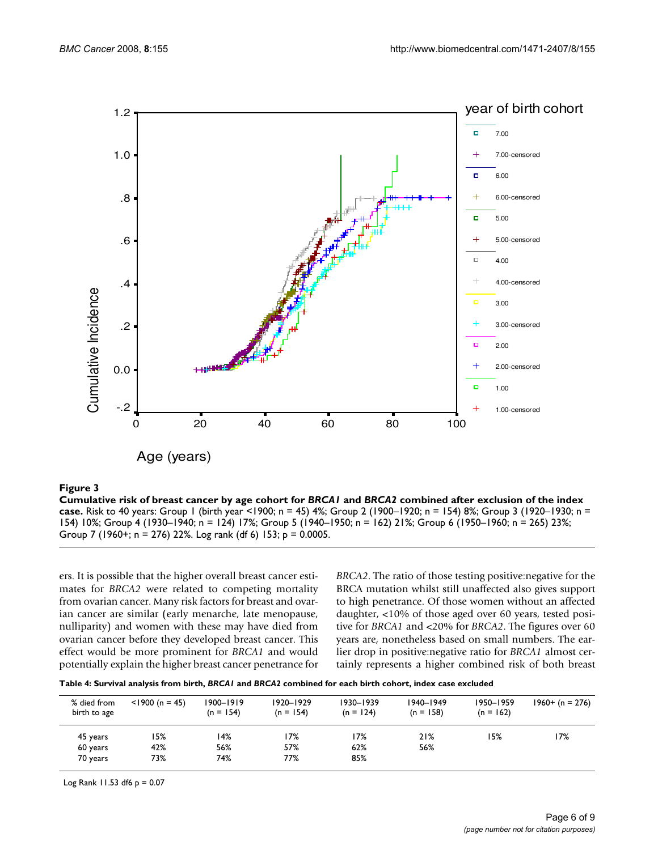

#### Cumulative risk of breast cancer by age cohort for **Figure 3** *BRCA1* and *BRCA2* combined after exclusion of the index case

**Cumulative risk of breast cancer by age cohort for** *BRCA1* **and** *BRCA2* **combined after exclusion of the index case.** Risk to 40 years: Group 1 (birth year <1900; n = 45) 4%; Group 2 (1900–1920; n = 154) 8%; Group 3 (1920–1930; n = 154) 10%; Group 4 (1930–1940; n = 124) 17%; Group 5 (1940–1950; n = 162) 21%; Group 6 (1950–1960; n = 265) 23%; Group 7 (1960+; n = 276) 22%. Log rank (df 6) 153; p = 0.0005.

ers. It is possible that the higher overall breast cancer estimates for *BRCA2* were related to competing mortality from ovarian cancer. Many risk factors for breast and ovarian cancer are similar (early menarche, late menopause, nulliparity) and women with these may have died from ovarian cancer before they developed breast cancer. This effect would be more prominent for *BRCA1* and would potentially explain the higher breast cancer penetrance for *BRCA2*. The ratio of those testing positive:negative for the BRCA mutation whilst still unaffected also gives support to high penetrance. Of those women without an affected daughter, <10% of those aged over 60 years, tested positive for *BRCA1* and <20% for *BRCA2*. The figures over 60 years are, nonetheless based on small numbers. The earlier drop in positive:negative ratio for *BRCA1* almost certainly represents a higher combined risk of both breast

**Table 4: Survival analysis from birth,** *BRCA1* **and** *BRCA2* **combined for each birth cohort, index case excluded**

| % died from<br>birth to age | $<$ 1900 (n = 45) | 1900-1919<br>$(n = 154)$ | $1920 - 1929$<br>$(n = 154)$ | 1930-1939<br>$(n = 124)$ | $1940 - 1949$<br>$(n = 158)$ | 1950-1959<br>$(n = 162)$ | $1960+ (n = 276)$ |
|-----------------------------|-------------------|--------------------------|------------------------------|--------------------------|------------------------------|--------------------------|-------------------|
| 45 years                    | 15%               | 14%                      | 17%                          | 17%                      | 21%                          | 15%                      | 17%               |
| 60 years                    | 42%               | 56%                      | 57%                          | 62%                      | 56%                          |                          |                   |
| 70 years                    | 73%               | 74%                      | 77%                          | 85%                      |                              |                          |                   |

Log Rank 11.53 df6 p = 0.07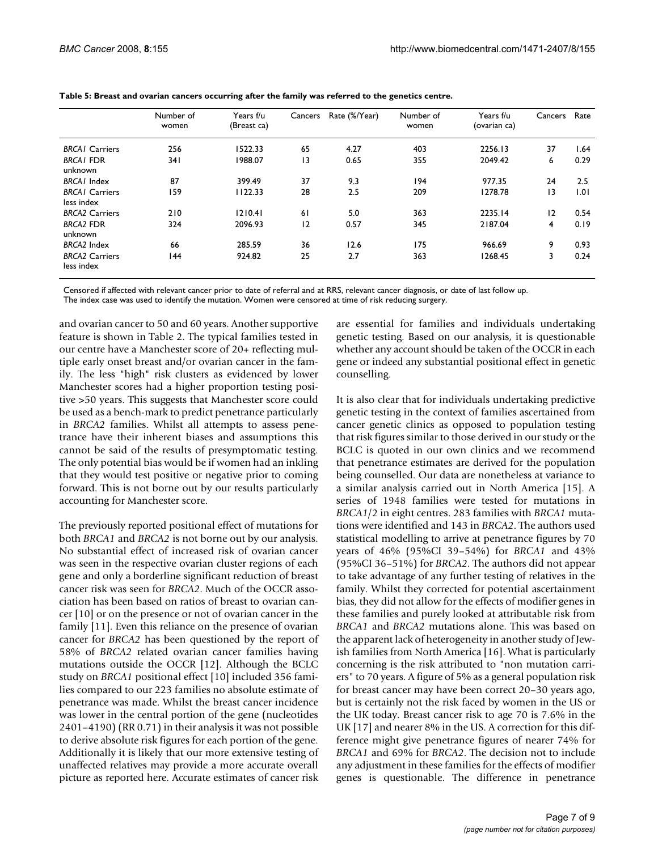|                                     | Number of<br>women | Years f/u<br>(Breast ca) | Cancers | Rate (%/Year) | Number of<br>women | Years f/u<br>(ovarian ca) | Cancers         | Rate |
|-------------------------------------|--------------------|--------------------------|---------|---------------|--------------------|---------------------------|-----------------|------|
| <b>BRCAI</b> Carriers               | 256                | 1522.33                  | 65      | 4.27          | 403                | 2256.13                   | 37              | 1.64 |
| <b>BRCAI FDR</b><br>unknown         | 34 I               | 1988.07                  | 3       | 0.65          | 355                | 2049.42                   | 6               | 0.29 |
| <b>BRCAI</b> Index                  | 87                 | 399.49                   | 37      | 9.3           | 194                | 977.35                    | 24              | 2.5  |
| <b>BRCAI</b> Carriers<br>less index | 159                | 1122.33                  | 28      | 2.5           | 209                | 1278.78                   | $\overline{13}$ | 1.01 |
| <b>BRCA2 Carriers</b>               | 210                | 1210.41                  | 61      | 5.0           | 363                | 2235.14                   | 12              | 0.54 |
| <b>BRCA2 FDR</b><br>unknown         | 324                | 2096.93                  | 12      | 0.57          | 345                | 2187.04                   | 4               | 0.19 |
| <b>BRCA2</b> Index                  | 66                 | 285.59                   | 36      | 12.6          | 175                | 966.69                    | 9               | 0.93 |
| <b>BRCA2 Carriers</b><br>less index | 144                | 924.82                   | 25      | 2.7           | 363                | 1268.45                   | 3               | 0.24 |

**Table 5: Breast and ovarian cancers occurring after the family was referred to the genetics centre.**

Censored if affected with relevant cancer prior to date of referral and at RRS, relevant cancer diagnosis, or date of last follow up.

The index case was used to identify the mutation. Women were censored at time of risk reducing surgery.

and ovarian cancer to 50 and 60 years. Another supportive feature is shown in Table 2. The typical families tested in our centre have a Manchester score of 20+ reflecting multiple early onset breast and/or ovarian cancer in the family. The less "high" risk clusters as evidenced by lower Manchester scores had a higher proportion testing positive >50 years. This suggests that Manchester score could be used as a bench-mark to predict penetrance particularly in *BRCA2* families. Whilst all attempts to assess penetrance have their inherent biases and assumptions this cannot be said of the results of presymptomatic testing. The only potential bias would be if women had an inkling that they would test positive or negative prior to coming forward. This is not borne out by our results particularly accounting for Manchester score.

The previously reported positional effect of mutations for both *BRCA1* and *BRCA2* is not borne out by our analysis. No substantial effect of increased risk of ovarian cancer was seen in the respective ovarian cluster regions of each gene and only a borderline significant reduction of breast cancer risk was seen for *BRCA2*. Much of the OCCR association has been based on ratios of breast to ovarian cancer [10] or on the presence or not of ovarian cancer in the family [11]. Even this reliance on the presence of ovarian cancer for *BRCA2* has been questioned by the report of 58% of *BRCA2* related ovarian cancer families having mutations outside the OCCR [12]. Although the BCLC study on *BRCA1* positional effect [10] included 356 families compared to our 223 families no absolute estimate of penetrance was made. Whilst the breast cancer incidence was lower in the central portion of the gene (nucleotides 2401–4190) (RR 0.71) in their analysis it was not possible to derive absolute risk figures for each portion of the gene. Additionally it is likely that our more extensive testing of unaffected relatives may provide a more accurate overall picture as reported here. Accurate estimates of cancer risk are essential for families and individuals undertaking genetic testing. Based on our analysis, it is questionable whether any account should be taken of the OCCR in each gene or indeed any substantial positional effect in genetic counselling.

It is also clear that for individuals undertaking predictive genetic testing in the context of families ascertained from cancer genetic clinics as opposed to population testing that risk figures similar to those derived in our study or the BCLC is quoted in our own clinics and we recommend that penetrance estimates are derived for the population being counselled. Our data are nonetheless at variance to a similar analysis carried out in North America [15]. A series of 1948 families were tested for mutations in *BRCA1*/2 in eight centres. 283 families with *BRCA1* mutations were identified and 143 in *BRCA2*. The authors used statistical modelling to arrive at penetrance figures by 70 years of 46% (95%CI 39–54%) for *BRCA1* and 43% (95%CI 36–51%) for *BRCA2*. The authors did not appear to take advantage of any further testing of relatives in the family. Whilst they corrected for potential ascertainment bias, they did not allow for the effects of modifier genes in these families and purely looked at attributable risk from *BRCA1* and *BRCA2* mutations alone. This was based on the apparent lack of heterogeneity in another study of Jewish families from North America [16]. What is particularly concerning is the risk attributed to "non mutation carriers" to 70 years. A figure of 5% as a general population risk for breast cancer may have been correct 20–30 years ago, but is certainly not the risk faced by women in the US or the UK today. Breast cancer risk to age 70 is 7.6% in the UK [17] and nearer 8% in the US. A correction for this difference might give penetrance figures of nearer 74% for *BRCA1* and 69% for *BRCA2*. The decision not to include any adjustment in these families for the effects of modifier genes is questionable. The difference in penetrance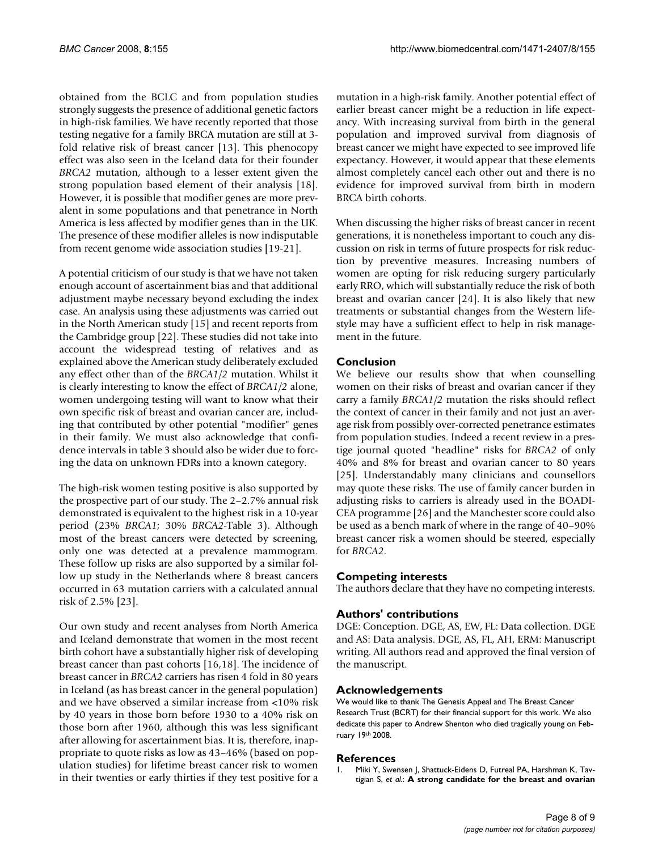obtained from the BCLC and from population studies strongly suggests the presence of additional genetic factors in high-risk families. We have recently reported that those testing negative for a family BRCA mutation are still at 3 fold relative risk of breast cancer [13]. This phenocopy effect was also seen in the Iceland data for their founder *BRCA2* mutation, although to a lesser extent given the strong population based element of their analysis [18]. However, it is possible that modifier genes are more prevalent in some populations and that penetrance in North America is less affected by modifier genes than in the UK. The presence of these modifier alleles is now indisputable from recent genome wide association studies [19-21].

A potential criticism of our study is that we have not taken enough account of ascertainment bias and that additional adjustment maybe necessary beyond excluding the index case. An analysis using these adjustments was carried out in the North American study [15] and recent reports from the Cambridge group [22]. These studies did not take into account the widespread testing of relatives and as explained above the American study deliberately excluded any effect other than of the *BRCA1/2* mutation. Whilst it is clearly interesting to know the effect of *BRCA1/2* alone, women undergoing testing will want to know what their own specific risk of breast and ovarian cancer are, including that contributed by other potential "modifier" genes in their family. We must also acknowledge that confidence intervals in table 3 should also be wider due to forcing the data on unknown FDRs into a known category.

The high-risk women testing positive is also supported by the prospective part of our study. The 2–2.7% annual risk demonstrated is equivalent to the highest risk in a 10-year period (23% *BRCA1*; 30% *BRCA2*-Table 3). Although most of the breast cancers were detected by screening, only one was detected at a prevalence mammogram. These follow up risks are also supported by a similar follow up study in the Netherlands where 8 breast cancers occurred in 63 mutation carriers with a calculated annual risk of 2.5% [23].

Our own study and recent analyses from North America and Iceland demonstrate that women in the most recent birth cohort have a substantially higher risk of developing breast cancer than past cohorts [16,18]. The incidence of breast cancer in *BRCA2* carriers has risen 4 fold in 80 years in Iceland (as has breast cancer in the general population) and we have observed a similar increase from <10% risk by 40 years in those born before 1930 to a 40% risk on those born after 1960, although this was less significant after allowing for ascertainment bias. It is, therefore, inappropriate to quote risks as low as 43–46% (based on population studies) for lifetime breast cancer risk to women in their twenties or early thirties if they test positive for a

mutation in a high-risk family. Another potential effect of earlier breast cancer might be a reduction in life expectancy. With increasing survival from birth in the general population and improved survival from diagnosis of breast cancer we might have expected to see improved life expectancy. However, it would appear that these elements almost completely cancel each other out and there is no evidence for improved survival from birth in modern BRCA birth cohorts.

When discussing the higher risks of breast cancer in recent generations, it is nonetheless important to couch any discussion on risk in terms of future prospects for risk reduction by preventive measures. Increasing numbers of women are opting for risk reducing surgery particularly early RRO, which will substantially reduce the risk of both breast and ovarian cancer [24]. It is also likely that new treatments or substantial changes from the Western lifestyle may have a sufficient effect to help in risk management in the future.

#### **Conclusion**

We believe our results show that when counselling women on their risks of breast and ovarian cancer if they carry a family *BRCA1/2* mutation the risks should reflect the context of cancer in their family and not just an average risk from possibly over-corrected penetrance estimates from population studies. Indeed a recent review in a prestige journal quoted "headline" risks for *BRCA2* of only 40% and 8% for breast and ovarian cancer to 80 years [25]. Understandably many clinicians and counsellors may quote these risks. The use of family cancer burden in adjusting risks to carriers is already used in the BOADI-CEA programme [26] and the Manchester score could also be used as a bench mark of where in the range of 40–90% breast cancer risk a women should be steered, especially for *BRCA2*.

#### **Competing interests**

The authors declare that they have no competing interests.

#### **Authors' contributions**

DGE: Conception. DGE, AS, EW, FL: Data collection. DGE and AS: Data analysis. DGE, AS, FL, AH, ERM: Manuscript writing. All authors read and approved the final version of the manuscript.

#### **Acknowledgements**

We would like to thank The Genesis Appeal and The Breast Cancer Research Trust (BCRT) for their financial support for this work. We also dedicate this paper to Andrew Shenton who died tragically young on February 19th 2008.

#### **References**

Miki Y, Swensen J, Shattuck-Eidens D, Futreal PA, Harshman K, Tavtigian S, *et al.*: **[A strong candidate for the breast and ovarian](http://www.ncbi.nlm.nih.gov/entrez/query.fcgi?cmd=Retrieve&db=PubMed&dopt=Abstract&list_uids=7545954)**